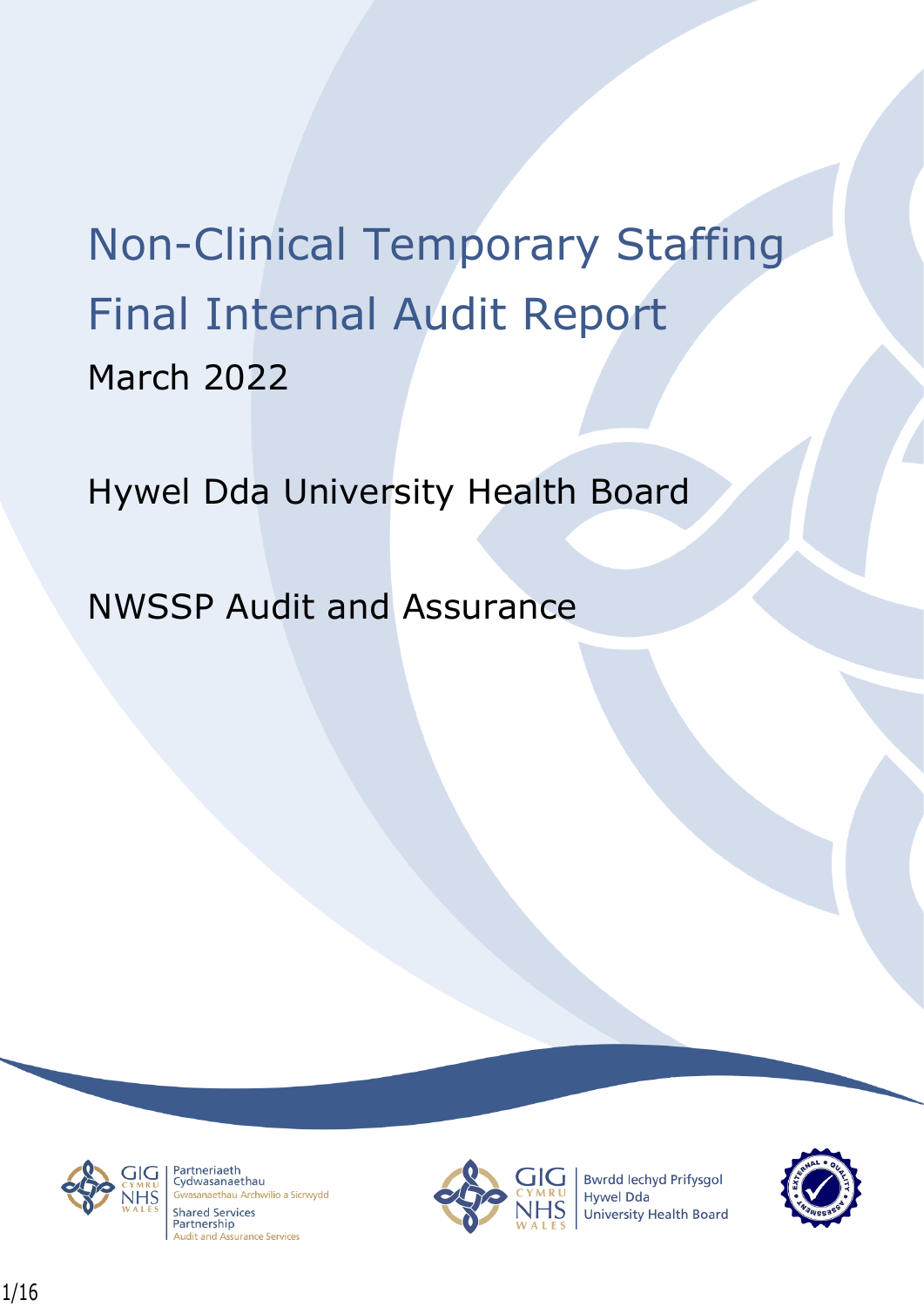# Non-Clinical Temporary Staffing Final Internal Audit Report March 2022

Hywel Dda University Health Board

NWSSP Audit and Assurance



Partneriaeth rartheriaeth<br>Cydwasanaethau sanaethau Archwilio a Sicrwydd **Shared Services** Partnership **Audit and Assurance Services** 



**Bwrdd lechyd Prifysgol Hywel Dda** University Health Board

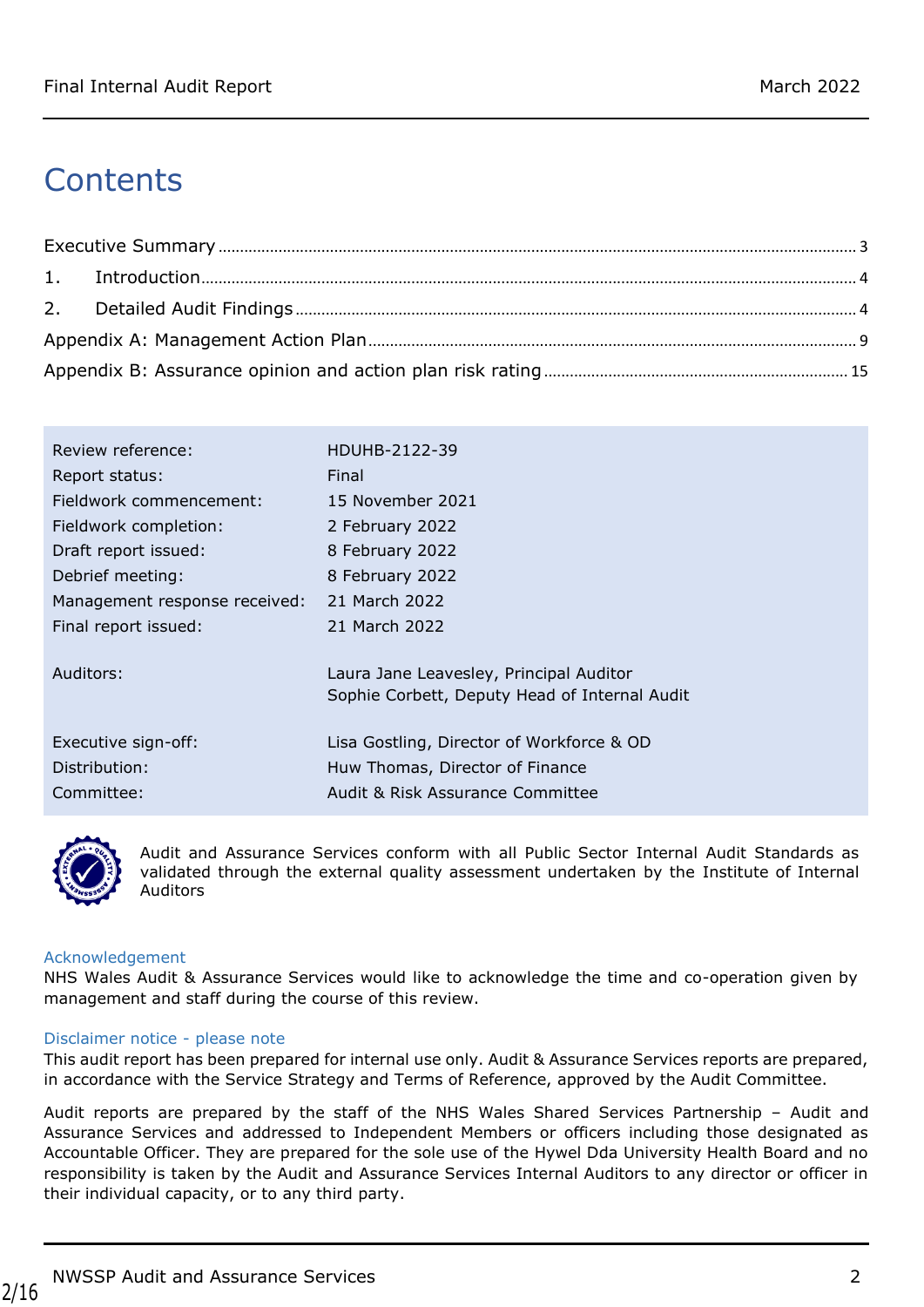# **Contents**

| Review reference:             | HDUHB-2122-39                                 |
|-------------------------------|-----------------------------------------------|
| Report status:                | Final                                         |
| Fieldwork commencement:       | 15 November 2021                              |
| Fieldwork completion:         | 2 February 2022                               |
| Draft report issued:          | 8 February 2022                               |
| Debrief meeting:              | 8 February 2022                               |
| Management response received: | 21 March 2022                                 |
| Final report issued:          | 21 March 2022                                 |
|                               |                                               |
| Auditors:                     | Laura Jane Leavesley, Principal Auditor       |
|                               | Sophie Corbett, Deputy Head of Internal Audit |
| Executive sign-off:           | Lisa Gostling, Director of Workforce & OD     |
|                               |                                               |
| Distribution:                 | Huw Thomas, Director of Finance               |
| Committee:                    | Audit & Risk Assurance Committee              |



Audit and Assurance Services conform with all Public Sector Internal Audit Standards as validated through the external quality assessment undertaken by the Institute of Internal Auditors

#### Acknowledgement

NHS Wales Audit & Assurance Services would like to acknowledge the time and co-operation given by management and staff during the course of this review.

#### Disclaimer notice - please note

This audit report has been prepared for internal use only. Audit & Assurance Services reports are prepared, in accordance with the Service Strategy and Terms of Reference, approved by the Audit Committee.

Audit reports are prepared by the staff of the NHS Wales Shared Services Partnership – Audit and Assurance Services and addressed to Independent Members or officers including those designated as Accountable Officer. They are prepared for the sole use of the Hywel Dda University Health Board and no responsibility is taken by the Audit and Assurance Services Internal Auditors to any director or officer in their individual capacity, or to any third party.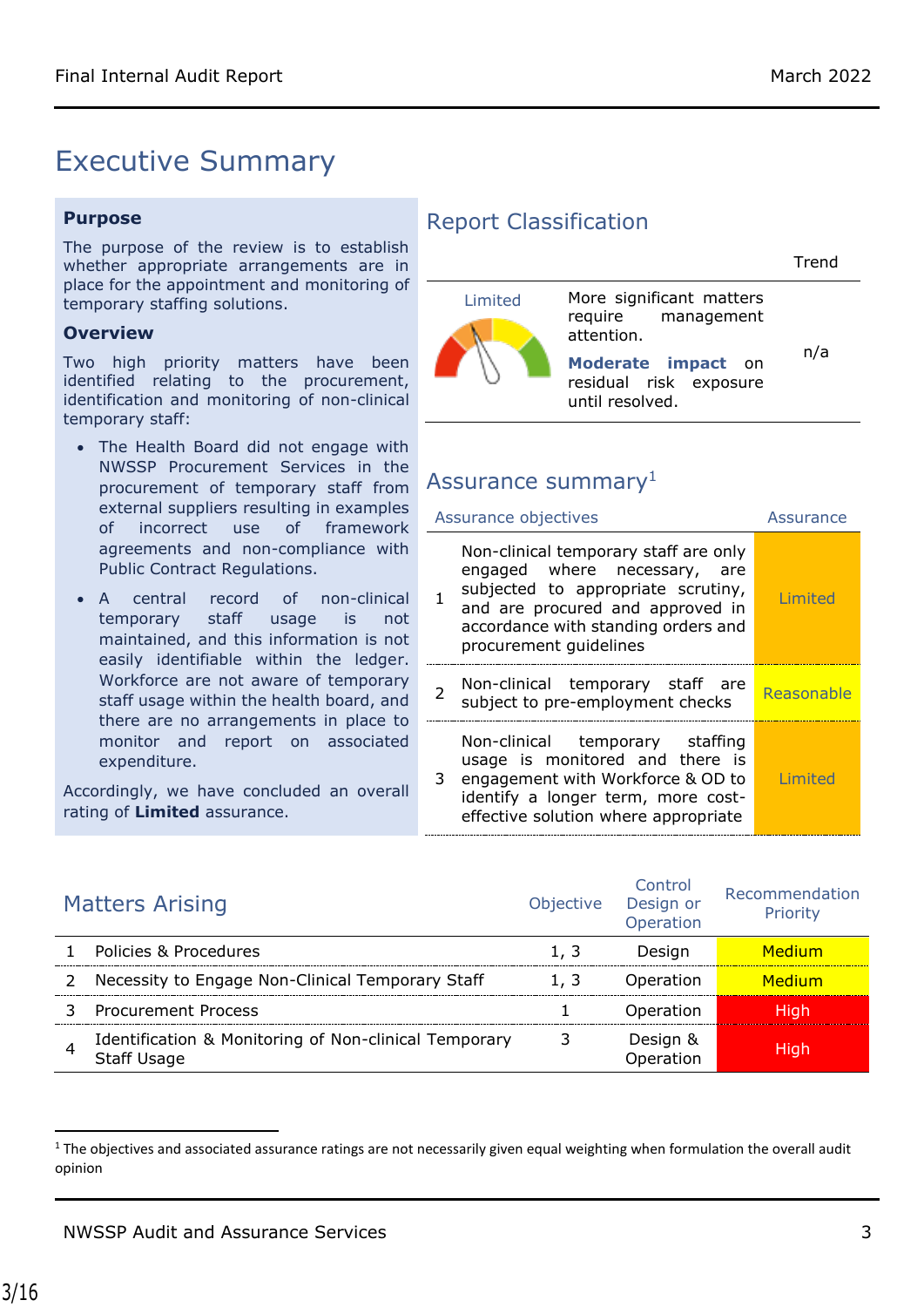## <span id="page-2-0"></span>Executive Summary

#### **Purpose**

The purpose of the review is to establish whether appropriate arrangements are in place for the appointment and monitoring of temporary staffing solutions.

#### **Overview**

Two high priority matters have been identified relating to the procurement, identification and monitoring of non-clinical temporary staff:

- The Health Board did not engage with NWSSP Procurement Services in the procurement of temporary staff from external suppliers resulting in examples of incorrect use of framework agreements and non-compliance with Public Contract Regulations.
- A central record of non-clinical temporary staff usage is not maintained, and this information is not easily identifiable within the ledger. Workforce are not aware of temporary staff usage within the health board, and there are no arrangements in place to monitor and report on associated expenditure.

Accordingly, we have concluded an overall rating of **Limited** assurance.

#### Report Classification

|         |                                                                                                                                 | Trend |
|---------|---------------------------------------------------------------------------------------------------------------------------------|-------|
| Limited | More significant matters<br>require management<br>attention.<br>Moderate impact on<br>residual risk exposure<br>until resolved. | n/a   |

#### Assurance summary $<sup>1</sup>$ </sup>

| Assurance objectives |                                                                                                                                                                                                                  | Assurance  |
|----------------------|------------------------------------------------------------------------------------------------------------------------------------------------------------------------------------------------------------------|------------|
|                      | Non-clinical temporary staff are only<br>engaged where necessary, are<br>subjected to appropriate scrutiny,<br>and are procured and approved in<br>accordance with standing orders and<br>procurement guidelines | Limited    |
|                      | Non-clinical temporary staff are<br>subject to pre-employment checks                                                                                                                                             | Reasonable |
| 3                    | Non-clinical temporary staffing<br>usage is monitored and there is<br>engagement with Workforce & OD to<br>identify a longer term, more cost-<br>effective solution where appropriate                            | Limited    |

| <b>Matters Arising</b>                                                      | <b>Objective</b> | Control<br>Design or<br>Operation | Recommendation<br>Priority |
|-----------------------------------------------------------------------------|------------------|-----------------------------------|----------------------------|
| Policies & Procedures                                                       | 1. 3             | Desian                            | Medium                     |
| Necessity to Engage Non-Clinical Temporary Staff                            | 1.3              | Operation                         | <u>Medium</u>              |
| <b>Procurement Process</b>                                                  |                  | Operation                         | Hiah                       |
| Identification & Monitoring of Non-clinical Temporary<br><b>Staff Usage</b> |                  | Design &<br><b>Dperation</b>      | Hiah                       |

 $1$  The objectives and associated assurance ratings are not necessarily given equal weighting when formulation the overall audit opinion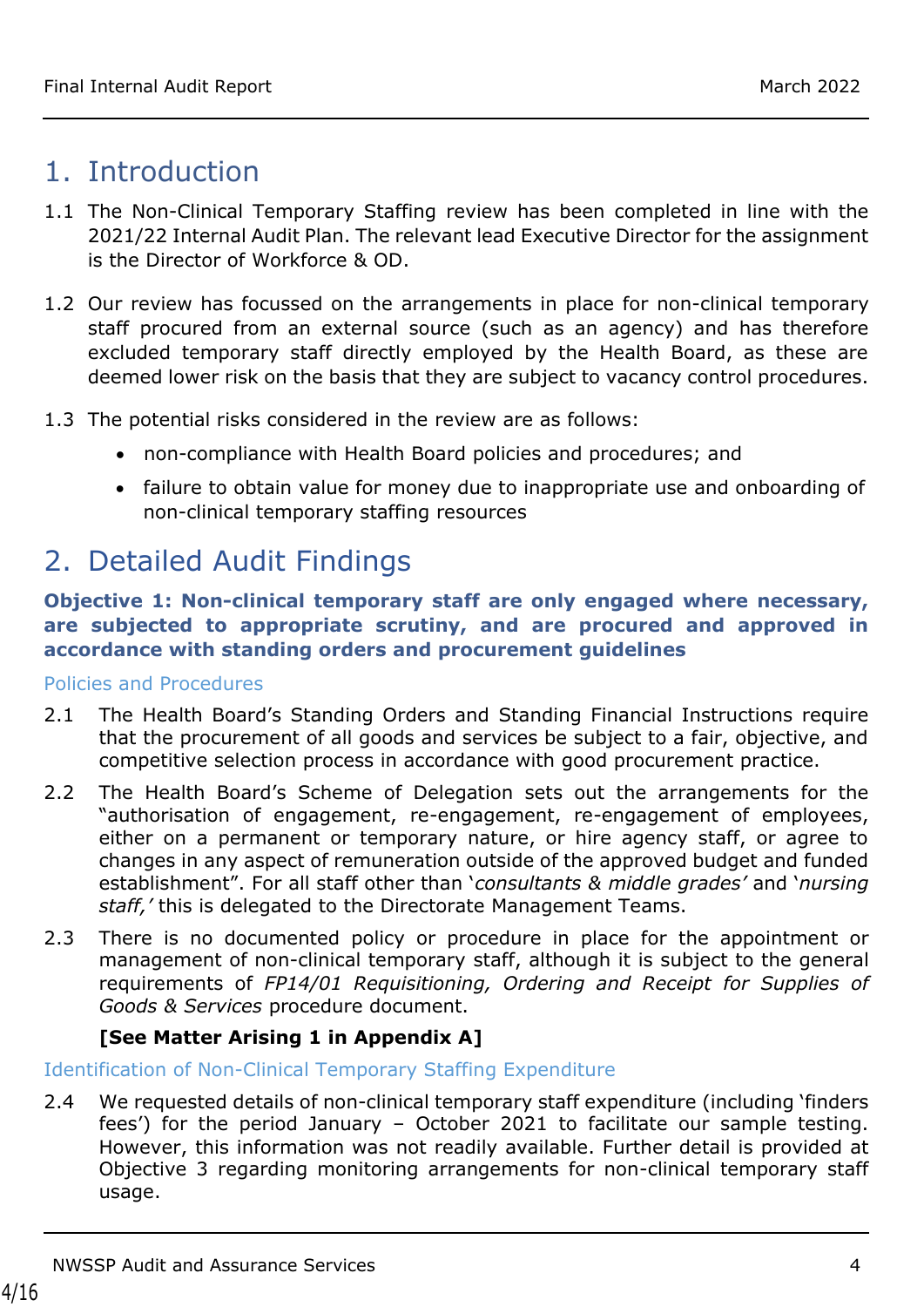### <span id="page-3-0"></span>1. Introduction

- 1.1 The Non-Clinical Temporary Staffing review has been completed in line with the 2021/22 Internal Audit Plan. The relevant lead Executive Director for the assignment is the Director of Workforce & OD.
- 1.2 Our review has focussed on the arrangements in place for non-clinical temporary staff procured from an external source (such as an agency) and has therefore excluded temporary staff directly employed by the Health Board, as these are deemed lower risk on the basis that they are subject to vacancy control procedures.
- 1.3 The potential risks considered in the review are as follows:
	- non-compliance with Health Board policies and procedures; and
	- failure to obtain value for money due to inappropriate use and onboarding of non-clinical temporary staffing resources

# <span id="page-3-1"></span>2. Detailed Audit Findings

#### **Objective 1: Non-clinical temporary staff are only engaged where necessary, are subjected to appropriate scrutiny, and are procured and approved in accordance with standing orders and procurement guidelines**

Policies and Procedures

- 2.1 The Health Board's Standing Orders and Standing Financial Instructions require that the procurement of all goods and services be subject to a fair, objective, and competitive selection process in accordance with good procurement practice.
- 2.2 The Health Board's Scheme of Delegation sets out the arrangements for the "authorisation of engagement, re-engagement, re-engagement of employees, either on a permanent or temporary nature, or hire agency staff, or agree to changes in any aspect of remuneration outside of the approved budget and funded establishment". For all staff other than '*consultants & middle grades'* and '*nursing staff,'* this is delegated to the Directorate Management Teams.
- 2.3 There is no documented policy or procedure in place for the appointment or management of non-clinical temporary staff, although it is subject to the general requirements of *FP14/01 Requisitioning, Ordering and Receipt for Supplies of Goods & Services* procedure document.

#### **[See Matter Arising 1 in Appendix A]**

#### Identification of Non-Clinical Temporary Staffing Expenditure

2.4 We requested details of non-clinical temporary staff expenditure (including 'finders fees') for the period January – October 2021 to facilitate our sample testing. However, this information was not readily available. Further detail is provided at Objective 3 regarding monitoring arrangements for non-clinical temporary staff usage.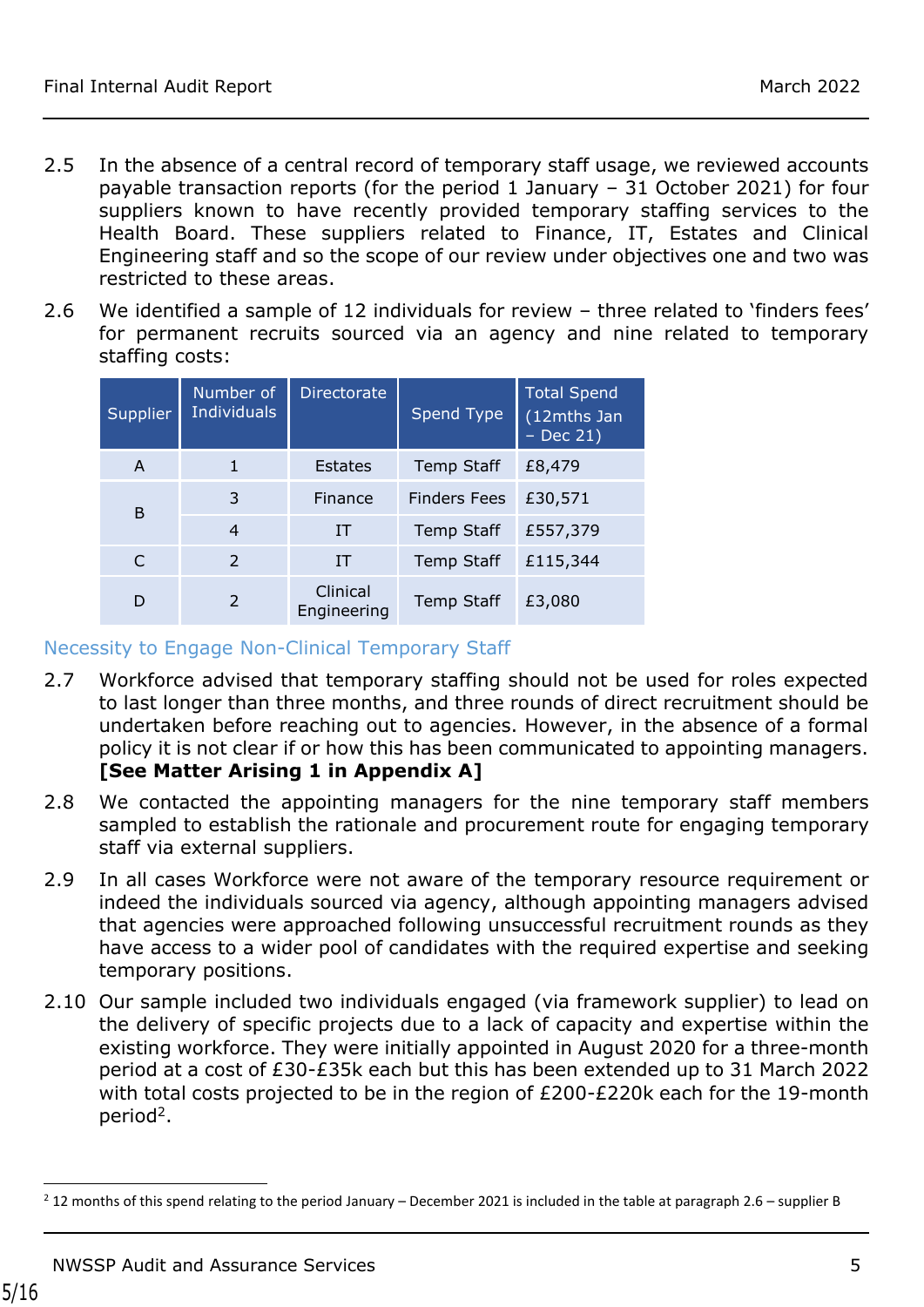- 2.5 In the absence of a central record of temporary staff usage, we reviewed accounts payable transaction reports (for the period 1 January –  $31$  October 2021) for four suppliers known to have recently provided temporary staffing services to the Health Board. These suppliers related to Finance, IT, Estates and Clinical Engineering staff and so the scope of our review under objectives one and two was restricted to these areas.
- 2.6 We identified a sample of 12 individuals for review three related to 'finders fees' for permanent recruits sourced via an agency and nine related to temporary staffing costs:

| Supplier | Number of<br><b>Individuals</b> | <b>Directorate</b>      | Spend Type          | <b>Total Spend</b><br>(12mths Jan<br>$-$ Dec 21) |
|----------|---------------------------------|-------------------------|---------------------|--------------------------------------------------|
| A        | 1                               | <b>Estates</b>          | <b>Temp Staff</b>   | £8,479                                           |
| B        | 3                               | Finance                 | <b>Finders Fees</b> | £30,571                                          |
|          | 4                               | IT                      | <b>Temp Staff</b>   | £557,379                                         |
| C        | $\mathcal{P}$                   | <b>IT</b>               | <b>Temp Staff</b>   | £115,344                                         |
| D        | $\overline{2}$                  | Clinical<br>Engineering | <b>Temp Staff</b>   | £3,080                                           |

#### Necessity to Engage Non-Clinical Temporary Staff

- 2.7 Workforce advised that temporary staffing should not be used for roles expected to last longer than three months, and three rounds of direct recruitment should be undertaken before reaching out to agencies. However, in the absence of a formal policy it is not clear if or how this has been communicated to appointing managers. **[See Matter Arising 1 in Appendix A]**
- 2.8 We contacted the appointing managers for the nine temporary staff members sampled to establish the rationale and procurement route for engaging temporary staff via external suppliers.
- 2.9 In all cases Workforce were not aware of the temporary resource requirement or indeed the individuals sourced via agency, although appointing managers advised that agencies were approached following unsuccessful recruitment rounds as they have access to a wider pool of candidates with the required expertise and seeking temporary positions.
- 2.10 Our sample included two individuals engaged (via framework supplier) to lead on the delivery of specific projects due to a lack of capacity and expertise within the existing workforce. They were initially appointed in August 2020 for a three-month period at a cost of £30-£35k each but this has been extended up to 31 March 2022 with total costs projected to be in the region of £200-£220k each for the 19-month period<sup>2</sup>.

 $^{2}$  12 months of this spend relating to the period January – December 2021 is included in the table at paragraph 2.6 – supplier B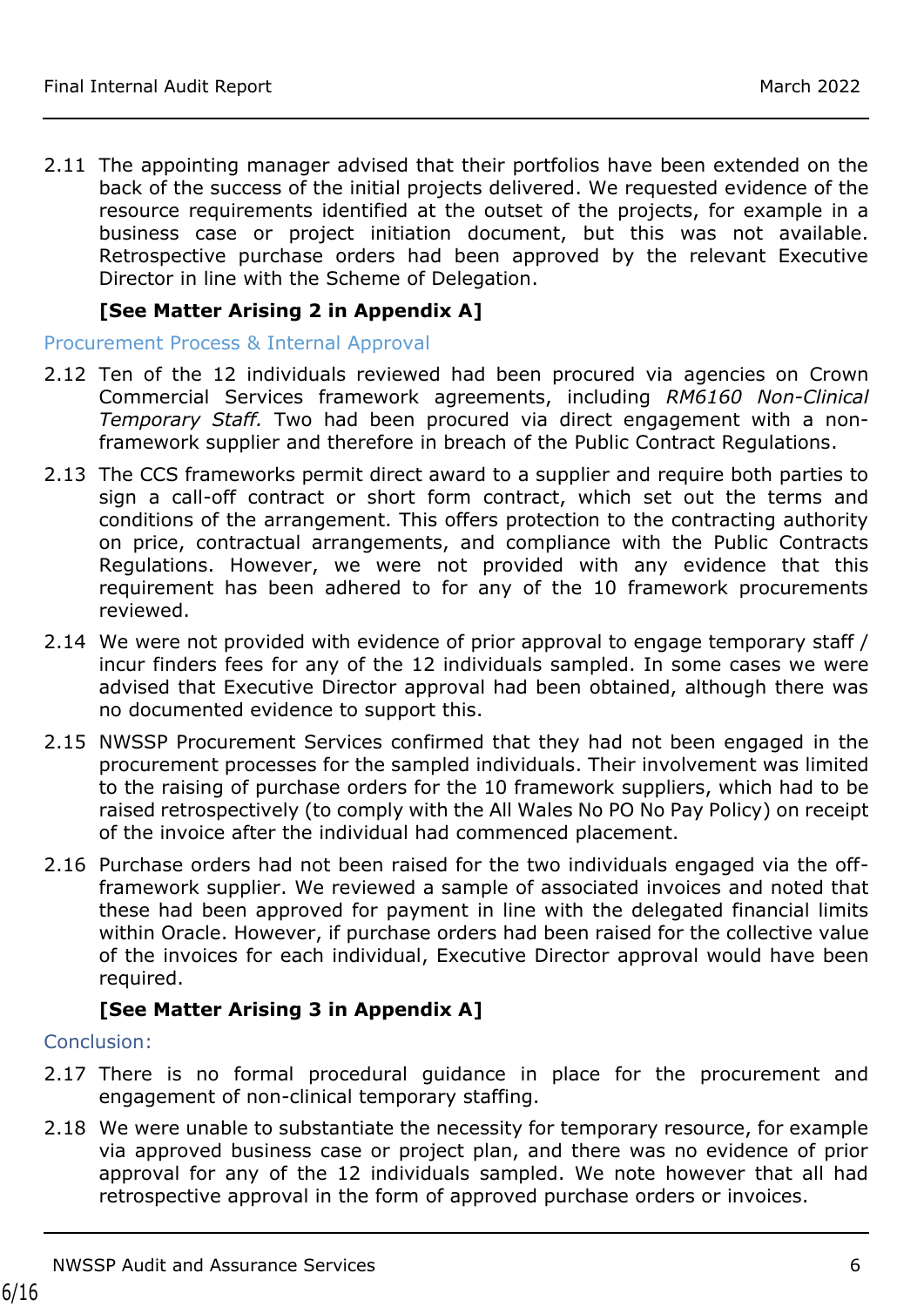2.11 The appointing manager advised that their portfolios have been extended on the back of the success of the initial projects delivered. We requested evidence of the resource requirements identified at the outset of the projects, for example in a business case or project initiation document, but this was not available. Retrospective purchase orders had been approved by the relevant Executive Director in line with the Scheme of Delegation.

#### **[See Matter Arising 2 in Appendix A]**

#### Procurement Process & Internal Approval

- 2.12 Ten of the 12 individuals reviewed had been procured via agencies on Crown Commercial Services framework agreements, including *RM6160 Non-Clinical Temporary Staff.* Two had been procured via direct engagement with a nonframework supplier and therefore in breach of the Public Contract Regulations.
- 2.13 The CCS frameworks permit direct award to a supplier and require both parties to sign a call-off contract or short form contract, which set out the terms and conditions of the arrangement. This offers protection to the contracting authority on price, contractual arrangements, and compliance with the Public Contracts Regulations. However, we were not provided with any evidence that this requirement has been adhered to for any of the 10 framework procurements reviewed.
- 2.14 We were not provided with evidence of prior approval to engage temporary staff / incur finders fees for any of the 12 individuals sampled. In some cases we were advised that Executive Director approval had been obtained, although there was no documented evidence to support this.
- 2.15 NWSSP Procurement Services confirmed that they had not been engaged in the procurement processes for the sampled individuals. Their involvement was limited to the raising of purchase orders for the 10 framework suppliers, which had to be raised retrospectively (to comply with the All Wales No PO No Pay Policy) on receipt of the invoice after the individual had commenced placement.
- 2.16 Purchase orders had not been raised for the two individuals engaged via the offframework supplier. We reviewed a sample of associated invoices and noted that these had been approved for payment in line with the delegated financial limits within Oracle. However, if purchase orders had been raised for the collective value of the invoices for each individual, Executive Director approval would have been required.

#### **[See Matter Arising 3 in Appendix A]**

#### Conclusion:

- 2.17 There is no formal procedural guidance in place for the procurement and engagement of non-clinical temporary staffing.
- 2.18 We were unable to substantiate the necessity for temporary resource, for example via approved business case or project plan, and there was no evidence of prior approval for any of the 12 individuals sampled. We note however that all had retrospective approval in the form of approved purchase orders or invoices.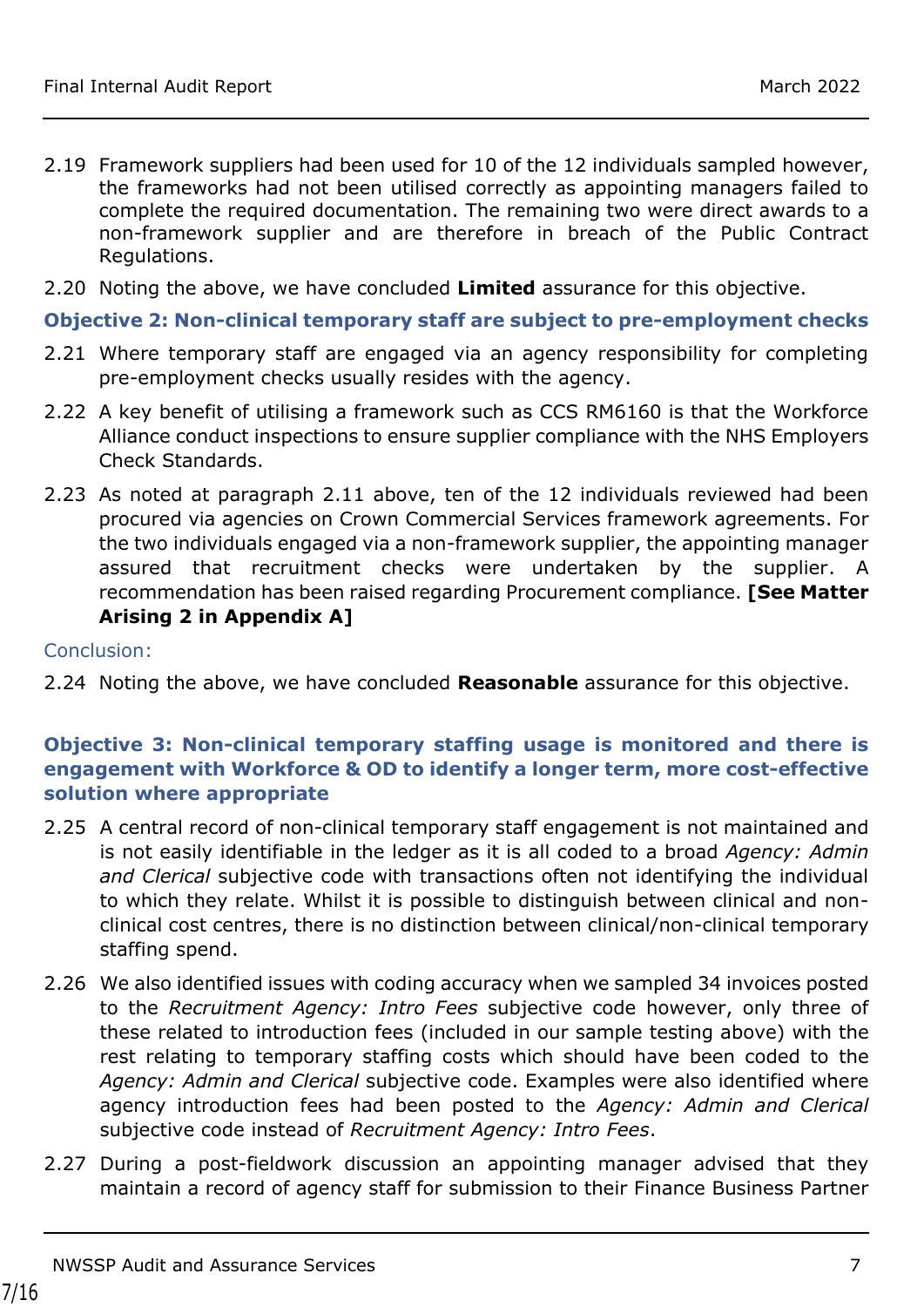- 2.19 Framework suppliers had been used for 10 of the 12 individuals sampled however, the frameworks had not been utilised correctly as appointing managers failed to complete the required documentation. The remaining two were direct awards to a non-framework supplier and are therefore in breach of the Public Contract Regulations.
- 2.20 Noting the above, we have concluded **Limited** assurance for this objective.

#### **Objective 2: Non-clinical temporary staff are subject to pre-employment checks**

- 2.21 Where temporary staff are engaged via an agency responsibility for completing pre-employment checks usually resides with the agency.
- 2.22 A key benefit of utilising a framework such as CCS RM6160 is that the Workforce Alliance conduct inspections to ensure supplier compliance with the NHS Employers Check Standards.
- 2.23 As noted at paragraph 2.11 above, ten of the 12 individuals reviewed had been procured via agencies on Crown Commercial Services framework agreements. For the two individuals engaged via a non-framework supplier, the appointing manager assured that recruitment checks were undertaken by the supplier. A recommendation has been raised regarding Procurement compliance. **[See Matter Arising 2 in Appendix A]**

#### Conclusion:

2.24 Noting the above, we have concluded **Reasonable** assurance for this objective.

#### **Objective 3: Non-clinical temporary staffing usage is monitored and there is engagement with Workforce & OD to identify a longer term, more cost-effective solution where appropriate**

- 2.25 A central record of non-clinical temporary staff engagement is not maintained and is not easily identifiable in the ledger as it is all coded to a broad *Agency: Admin and Clerical* subjective code with transactions often not identifying the individual to which they relate. Whilst it is possible to distinguish between clinical and nonclinical cost centres, there is no distinction between clinical/non-clinical temporary staffing spend.
- 2.26 We also identified issues with coding accuracy when we sampled 34 invoices posted to the *Recruitment Agency: Intro Fees* subjective code however, only three of these related to introduction fees (included in our sample testing above) with the rest relating to temporary staffing costs which should have been coded to the *Agency: Admin and Clerical* subjective code. Examples were also identified where agency introduction fees had been posted to the *Agency: Admin and Clerical* subjective code instead of *Recruitment Agency: Intro Fees*.
- 2.27 During a post-fieldwork discussion an appointing manager advised that they maintain a record of agency staff for submission to their Finance Business Partner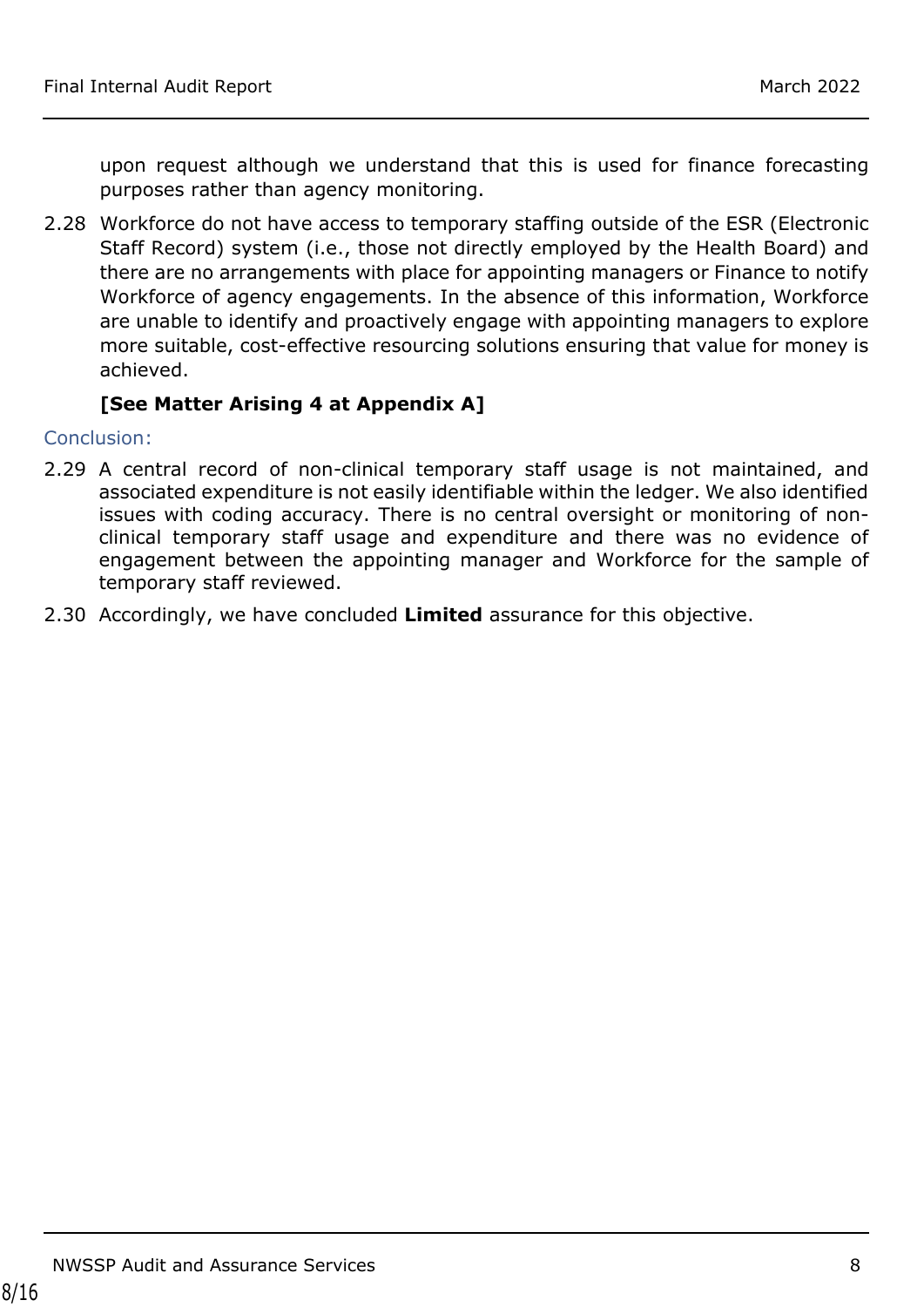upon request although we understand that this is used for finance forecasting purposes rather than agency monitoring.

2.28 Workforce do not have access to temporary staffing outside of the ESR (Electronic Staff Record) system (i.e., those not directly employed by the Health Board) and there are no arrangements with place for appointing managers or Finance to notify Workforce of agency engagements. In the absence of this information, Workforce are unable to identify and proactively engage with appointing managers to explore more suitable, cost-effective resourcing solutions ensuring that value for money is achieved.

#### **[See Matter Arising 4 at Appendix A]**

Conclusion:

- 2.29 A central record of non-clinical temporary staff usage is not maintained, and associated expenditure is not easily identifiable within the ledger. We also identified issues with coding accuracy. There is no central oversight or monitoring of nonclinical temporary staff usage and expenditure and there was no evidence of engagement between the appointing manager and Workforce for the sample of temporary staff reviewed.
- 2.30 Accordingly, we have concluded **Limited** assurance for this objective.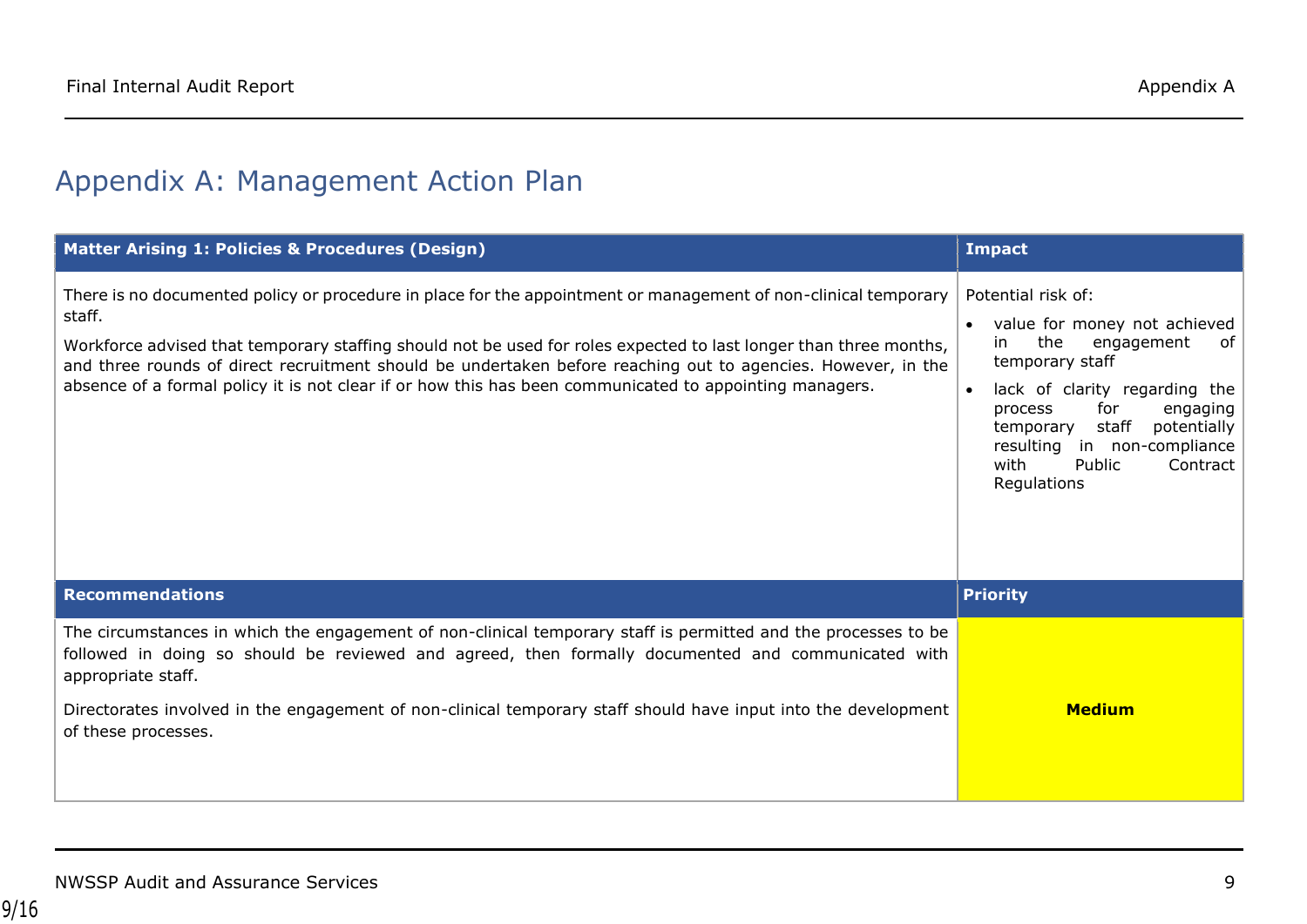# Appendix A: Management Action Plan

<span id="page-8-0"></span>

| Matter Arising 1: Policies & Procedures (Design)                                                                                                                                                                                                                                                                                                                                                                                                                          | <b>Impact</b>                                                                                                                                                                                                                                                                                        |
|---------------------------------------------------------------------------------------------------------------------------------------------------------------------------------------------------------------------------------------------------------------------------------------------------------------------------------------------------------------------------------------------------------------------------------------------------------------------------|------------------------------------------------------------------------------------------------------------------------------------------------------------------------------------------------------------------------------------------------------------------------------------------------------|
| There is no documented policy or procedure in place for the appointment or management of non-clinical temporary<br>staff.<br>Workforce advised that temporary staffing should not be used for roles expected to last longer than three months,<br>and three rounds of direct recruitment should be undertaken before reaching out to agencies. However, in the<br>absence of a formal policy it is not clear if or how this has been communicated to appointing managers. | Potential risk of:<br>value for money not achieved<br>the<br>in.<br>engagement<br>of<br>temporary staff<br>lack of clarity regarding the<br>$\bullet$<br>for<br>engaging<br>process<br>staff<br>potentially<br>temporary<br>resulting in non-compliance<br>Contract<br>with<br>Public<br>Regulations |
| <b>Recommendations</b>                                                                                                                                                                                                                                                                                                                                                                                                                                                    | <b>Priority</b>                                                                                                                                                                                                                                                                                      |
| The circumstances in which the engagement of non-clinical temporary staff is permitted and the processes to be<br>followed in doing so should be reviewed and agreed, then formally documented and communicated with<br>appropriate staff.<br>Directorates involved in the engagement of non-clinical temporary staff should have input into the development                                                                                                              | <b>Medium</b>                                                                                                                                                                                                                                                                                        |
| of these processes.                                                                                                                                                                                                                                                                                                                                                                                                                                                       |                                                                                                                                                                                                                                                                                                      |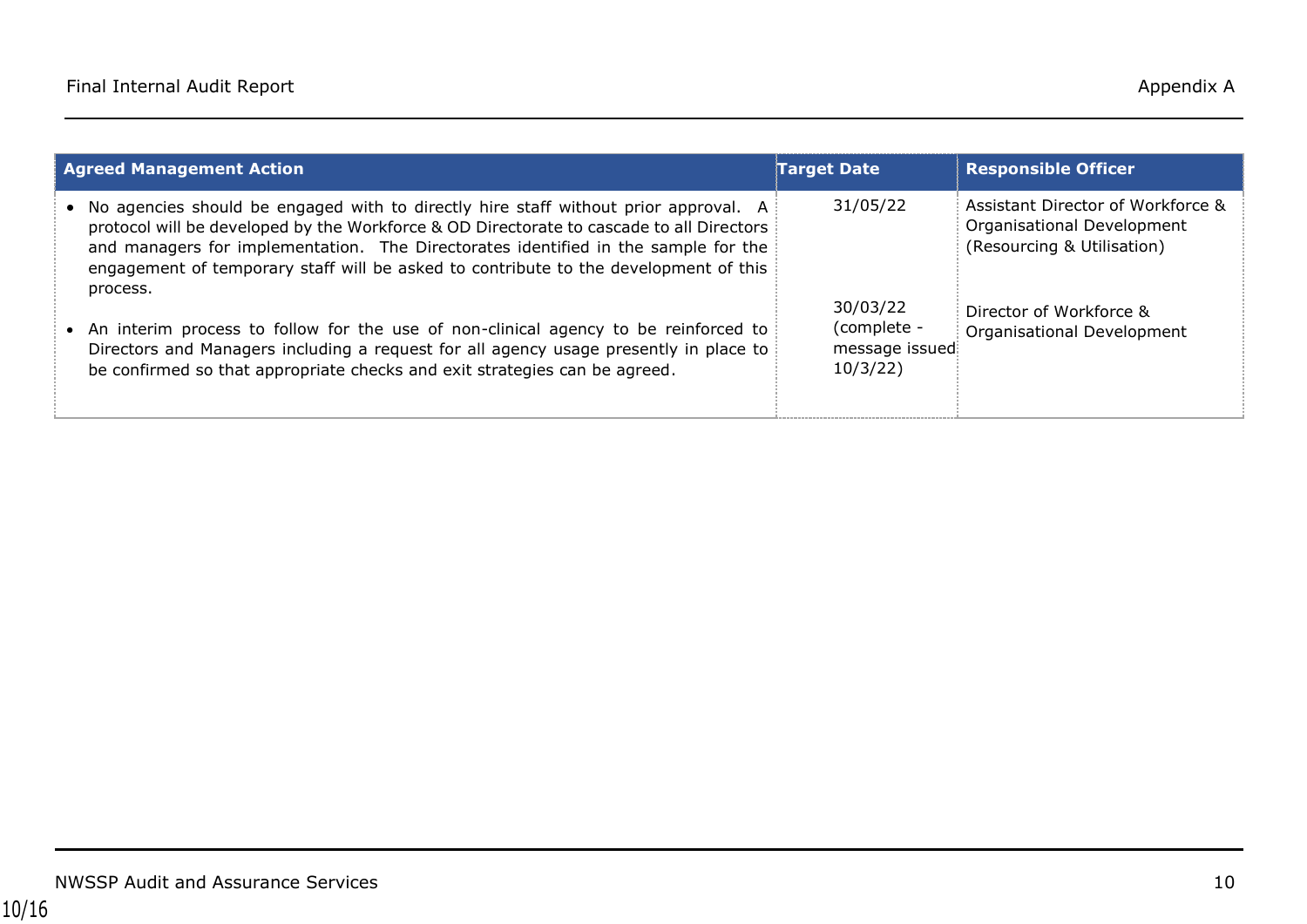| <b>Agreed Management Action</b>                                                                                                                                                                                                                                                                                                                                             | <b>Target Date</b>                                    | <b>Responsible Officer</b>                                                                    |
|-----------------------------------------------------------------------------------------------------------------------------------------------------------------------------------------------------------------------------------------------------------------------------------------------------------------------------------------------------------------------------|-------------------------------------------------------|-----------------------------------------------------------------------------------------------|
| • No agencies should be engaged with to directly hire staff without prior approval. A<br>protocol will be developed by the Workforce & OD Directorate to cascade to all Directors<br>and managers for implementation. The Directorates identified in the sample for the<br>engagement of temporary staff will be asked to contribute to the development of this<br>process. | 31/05/22                                              | Assistant Director of Workforce &<br>Organisational Development<br>(Resourcing & Utilisation) |
| • An interim process to follow for the use of non-clinical agency to be reinforced to<br>Directors and Managers including a request for all agency usage presently in place to<br>be confirmed so that appropriate checks and exit strategies can be agreed.                                                                                                                | 30/03/22<br>(complete -<br>message issued<br>10/3/22) | Director of Workforce &<br>Organisational Development                                         |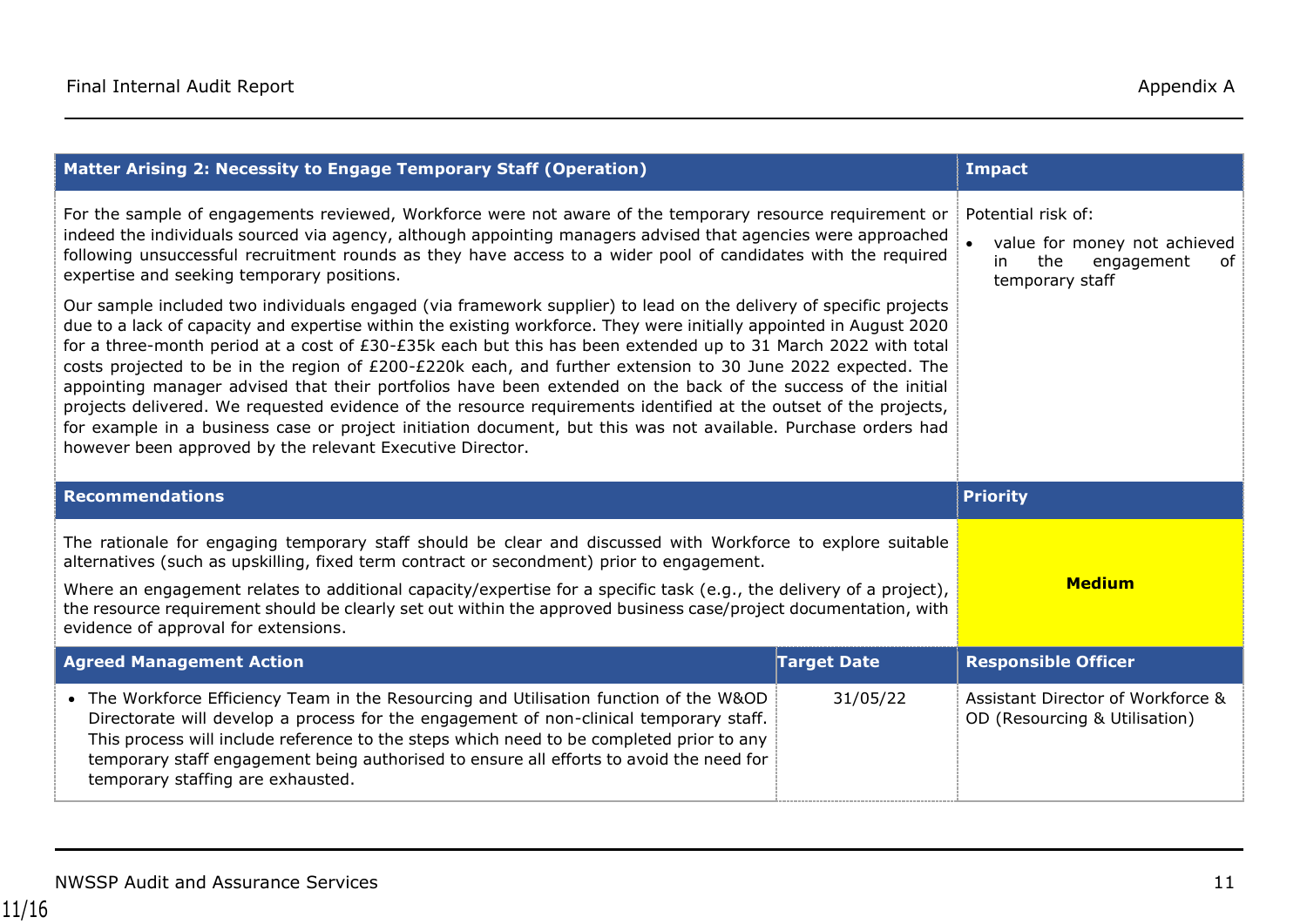| Matter Arising 2: Necessity to Engage Temporary Staff (Operation)                                                                                                                                                                                                                                                                                                                                                                                                                                                                                                                                                                                                                                                                                                                                                                                                                            | <b>Impact</b>                                                                                           |                            |
|----------------------------------------------------------------------------------------------------------------------------------------------------------------------------------------------------------------------------------------------------------------------------------------------------------------------------------------------------------------------------------------------------------------------------------------------------------------------------------------------------------------------------------------------------------------------------------------------------------------------------------------------------------------------------------------------------------------------------------------------------------------------------------------------------------------------------------------------------------------------------------------------|---------------------------------------------------------------------------------------------------------|----------------------------|
| For the sample of engagements reviewed, Workforce were not aware of the temporary resource requirement or<br>indeed the individuals sourced via agency, although appointing managers advised that agencies were approached<br>following unsuccessful recruitment rounds as they have access to a wider pool of candidates with the required<br>expertise and seeking temporary positions.                                                                                                                                                                                                                                                                                                                                                                                                                                                                                                    | Potential risk of:<br>value for money not achieved<br>the<br>engagement<br>in.<br>0f<br>temporary staff |                            |
| Our sample included two individuals engaged (via framework supplier) to lead on the delivery of specific projects<br>due to a lack of capacity and expertise within the existing workforce. They were initially appointed in August 2020<br>for a three-month period at a cost of £30-£35k each but this has been extended up to 31 March 2022 with total<br>costs projected to be in the region of £200-£220k each, and further extension to 30 June 2022 expected. The<br>appointing manager advised that their portfolios have been extended on the back of the success of the initial<br>projects delivered. We requested evidence of the resource requirements identified at the outset of the projects,<br>for example in a business case or project initiation document, but this was not available. Purchase orders had<br>however been approved by the relevant Executive Director. |                                                                                                         |                            |
|                                                                                                                                                                                                                                                                                                                                                                                                                                                                                                                                                                                                                                                                                                                                                                                                                                                                                              |                                                                                                         |                            |
| <b>Recommendations</b>                                                                                                                                                                                                                                                                                                                                                                                                                                                                                                                                                                                                                                                                                                                                                                                                                                                                       |                                                                                                         | <b>Priority</b>            |
| The rationale for engaging temporary staff should be clear and discussed with Workforce to explore suitable<br>alternatives (such as upskilling, fixed term contract or secondment) prior to engagement.                                                                                                                                                                                                                                                                                                                                                                                                                                                                                                                                                                                                                                                                                     |                                                                                                         |                            |
| Where an engagement relates to additional capacity/expertise for a specific task (e.g., the delivery of a project),<br>the resource requirement should be clearly set out within the approved business case/project documentation, with<br>evidence of approval for extensions.                                                                                                                                                                                                                                                                                                                                                                                                                                                                                                                                                                                                              |                                                                                                         | <b>Medium</b>              |
| <b>Agreed Management Action</b>                                                                                                                                                                                                                                                                                                                                                                                                                                                                                                                                                                                                                                                                                                                                                                                                                                                              | <b>Target Date</b>                                                                                      | <b>Responsible Officer</b> |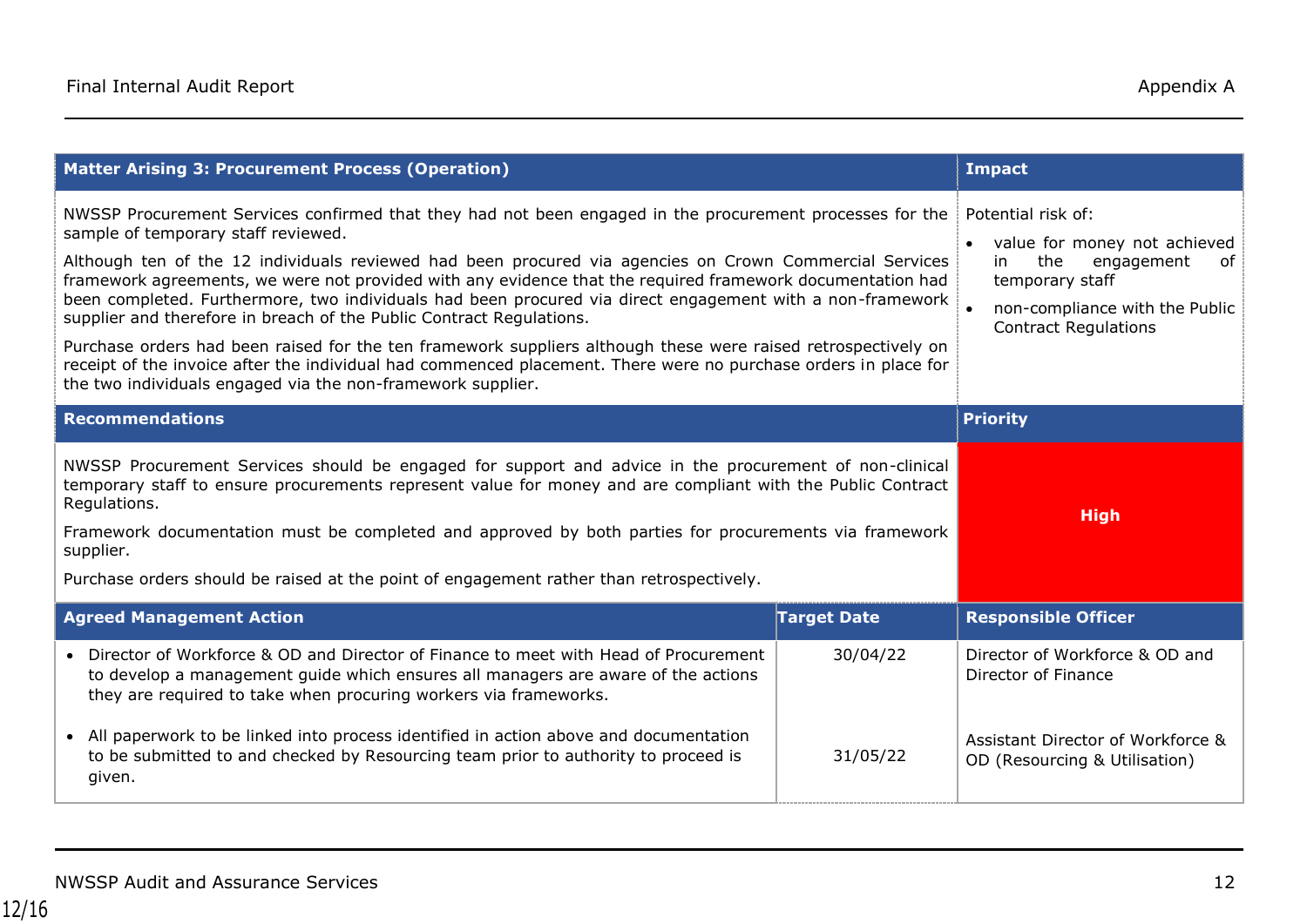| <b>Matter Arising 3: Procurement Process (Operation)</b>                                                                                                                                                                                                                                                                                                                                                                                                                                                                                                                                                                                                                                                                                                                                                                                                         | <b>Impact</b>                                                                                                                                                                         |                                                                    |
|------------------------------------------------------------------------------------------------------------------------------------------------------------------------------------------------------------------------------------------------------------------------------------------------------------------------------------------------------------------------------------------------------------------------------------------------------------------------------------------------------------------------------------------------------------------------------------------------------------------------------------------------------------------------------------------------------------------------------------------------------------------------------------------------------------------------------------------------------------------|---------------------------------------------------------------------------------------------------------------------------------------------------------------------------------------|--------------------------------------------------------------------|
| NWSSP Procurement Services confirmed that they had not been engaged in the procurement processes for the<br>sample of temporary staff reviewed.<br>Although ten of the 12 individuals reviewed had been procured via agencies on Crown Commercial Services<br>framework agreements, we were not provided with any evidence that the required framework documentation had<br>been completed. Furthermore, two individuals had been procured via direct engagement with a non-framework<br>supplier and therefore in breach of the Public Contract Regulations.<br>Purchase orders had been raised for the ten framework suppliers although these were raised retrospectively on<br>receipt of the invoice after the individual had commenced placement. There were no purchase orders in place for<br>the two individuals engaged via the non-framework supplier. | Potential risk of:<br>value for money not achieved<br>$\bullet$<br>the<br>engagement<br>of<br>in.<br>temporary staff<br>non-compliance with the Public<br><b>Contract Regulations</b> |                                                                    |
| <b>Recommendations</b>                                                                                                                                                                                                                                                                                                                                                                                                                                                                                                                                                                                                                                                                                                                                                                                                                                           |                                                                                                                                                                                       | <b>Priority</b>                                                    |
| NWSSP Procurement Services should be engaged for support and advice in the procurement of non-clinical<br>temporary staff to ensure procurements represent value for money and are compliant with the Public Contract<br>Regulations.<br>Framework documentation must be completed and approved by both parties for procurements via framework<br>supplier.<br>Purchase orders should be raised at the point of engagement rather than retrospectively.                                                                                                                                                                                                                                                                                                                                                                                                          | <b>High</b>                                                                                                                                                                           |                                                                    |
| <b>Agreed Management Action</b>                                                                                                                                                                                                                                                                                                                                                                                                                                                                                                                                                                                                                                                                                                                                                                                                                                  | <b>Target Date</b>                                                                                                                                                                    | <b>Responsible Officer</b>                                         |
| • Director of Workforce & OD and Director of Finance to meet with Head of Procurement<br>to develop a management guide which ensures all managers are aware of the actions<br>they are required to take when procuring workers via frameworks.                                                                                                                                                                                                                                                                                                                                                                                                                                                                                                                                                                                                                   | 30/04/22                                                                                                                                                                              | Director of Workforce & OD and<br>Director of Finance              |
| • All paperwork to be linked into process identified in action above and documentation<br>to be submitted to and checked by Resourcing team prior to authority to proceed is<br>given.                                                                                                                                                                                                                                                                                                                                                                                                                                                                                                                                                                                                                                                                           | 31/05/22                                                                                                                                                                              | Assistant Director of Workforce &<br>OD (Resourcing & Utilisation) |

**Workforce & OD (Resourcing**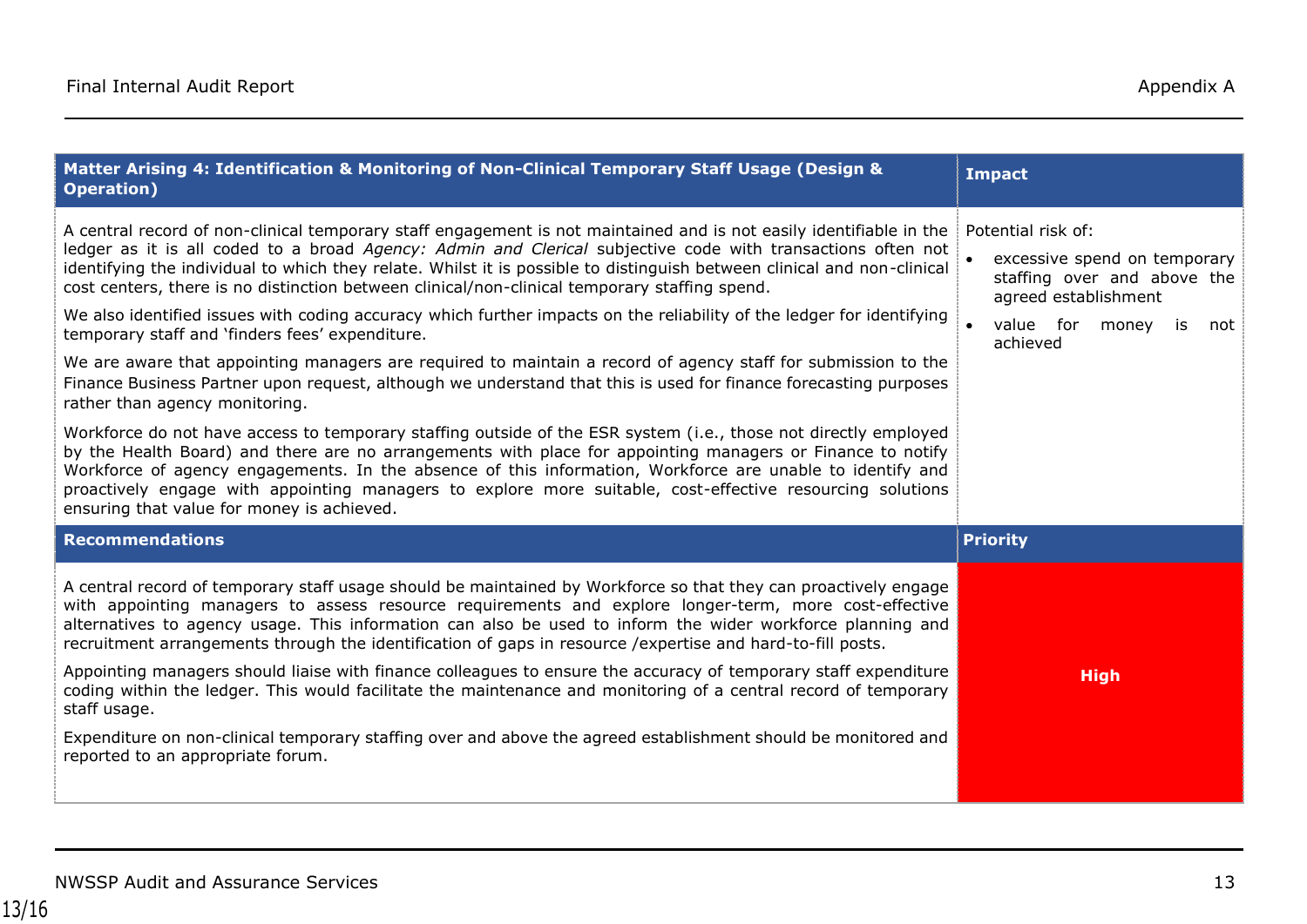| Matter Arising 4: Identification & Monitoring of Non-Clinical Temporary Staff Usage (Design &<br><b>Operation</b> )                                                                                                                                                                                                                                                                                                                                                                                                                                                                                                                                                                                                                                                                                                                                                                                                                                                                                                                                                                                                                                                                                                                                                                                                                                                                                                        | <b>Impact</b>                                                                                                                                      |
|----------------------------------------------------------------------------------------------------------------------------------------------------------------------------------------------------------------------------------------------------------------------------------------------------------------------------------------------------------------------------------------------------------------------------------------------------------------------------------------------------------------------------------------------------------------------------------------------------------------------------------------------------------------------------------------------------------------------------------------------------------------------------------------------------------------------------------------------------------------------------------------------------------------------------------------------------------------------------------------------------------------------------------------------------------------------------------------------------------------------------------------------------------------------------------------------------------------------------------------------------------------------------------------------------------------------------------------------------------------------------------------------------------------------------|----------------------------------------------------------------------------------------------------------------------------------------------------|
| A central record of non-clinical temporary staff engagement is not maintained and is not easily identifiable in the<br>ledger as it is all coded to a broad Agency: Admin and Clerical subjective code with transactions often not<br>identifying the individual to which they relate. Whilst it is possible to distinguish between clinical and non-clinical<br>cost centers, there is no distinction between clinical/non-clinical temporary staffing spend.<br>We also identified issues with coding accuracy which further impacts on the reliability of the ledger for identifying<br>temporary staff and 'finders fees' expenditure.<br>We are aware that appointing managers are required to maintain a record of agency staff for submission to the<br>Finance Business Partner upon request, although we understand that this is used for finance forecasting purposes<br>rather than agency monitoring.<br>Workforce do not have access to temporary staffing outside of the ESR system (i.e., those not directly employed<br>by the Health Board) and there are no arrangements with place for appointing managers or Finance to notify<br>Workforce of agency engagements. In the absence of this information, Workforce are unable to identify and<br>proactively engage with appointing managers to explore more suitable, cost-effective resourcing solutions<br>ensuring that value for money is achieved. | Potential risk of:<br>excessive spend on temporary<br>staffing over and above the<br>agreed establishment<br>value for money is<br>not<br>achieved |
| <b>Recommendations</b>                                                                                                                                                                                                                                                                                                                                                                                                                                                                                                                                                                                                                                                                                                                                                                                                                                                                                                                                                                                                                                                                                                                                                                                                                                                                                                                                                                                                     | <b>Priority</b>                                                                                                                                    |
| A central record of temporary staff usage should be maintained by Workforce so that they can proactively engage<br>with appointing managers to assess resource requirements and explore longer-term, more cost-effective<br>alternatives to agency usage. This information can also be used to inform the wider workforce planning and<br>recruitment arrangements through the identification of gaps in resource / expertise and hard-to-fill posts.<br>Appointing managers should liaise with finance colleagues to ensure the accuracy of temporary staff expenditure<br>coding within the ledger. This would facilitate the maintenance and monitoring of a central record of temporary<br>staff usage.<br>Expenditure on non-clinical temporary staffing over and above the agreed establishment should be monitored and<br>reported to an appropriate forum.                                                                                                                                                                                                                                                                                                                                                                                                                                                                                                                                                         | <b>High</b>                                                                                                                                        |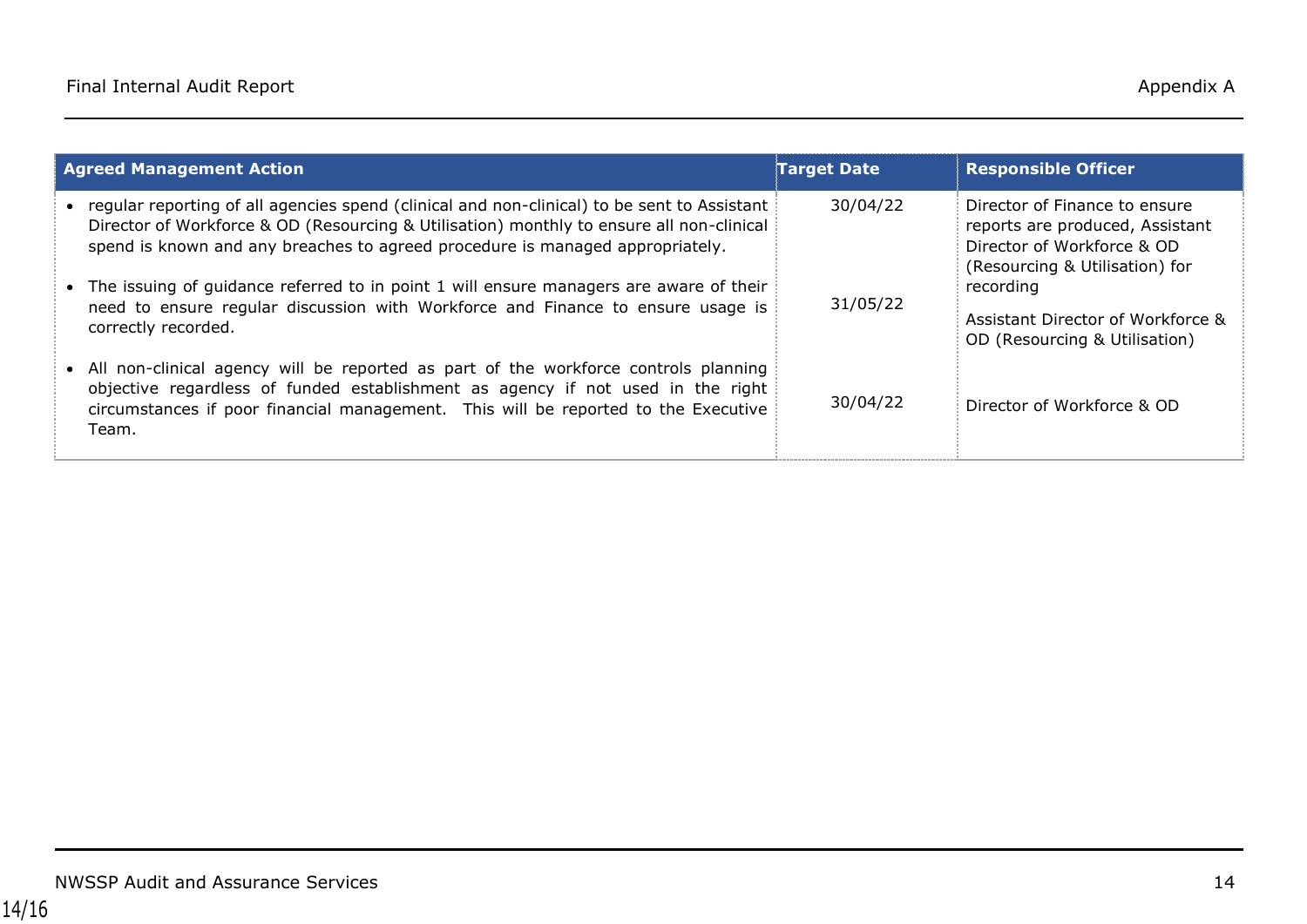| <b>Agreed Management Action</b>                                                                                                                                                                                                                                            | <b>Target Date</b> | <b>Responsible Officer</b>                                                                                                       |
|----------------------------------------------------------------------------------------------------------------------------------------------------------------------------------------------------------------------------------------------------------------------------|--------------------|----------------------------------------------------------------------------------------------------------------------------------|
| • regular reporting of all agencies spend (clinical and non-clinical) to be sent to Assistant<br>Director of Workforce & OD (Resourcing & Utilisation) monthly to ensure all non-clinical<br>spend is known and any breaches to agreed procedure is managed appropriately. | 30/04/22           | Director of Finance to ensure<br>reports are produced, Assistant<br>Director of Workforce & OD<br>(Resourcing & Utilisation) for |
| • The issuing of guidance referred to in point 1 will ensure managers are aware of their<br>need to ensure regular discussion with Workforce and Finance to ensure usage is<br>correctly recorded.                                                                         | 31/05/22           | recording<br>Assistant Director of Workforce &<br>OD (Resourcing & Utilisation)                                                  |
| • All non-clinical agency will be reported as part of the workforce controls planning<br>objective regardless of funded establishment as agency if not used in the right<br>circumstances if poor financial management. This will be reported to the Executive<br>Team.    | 30/04/22           | Director of Workforce & OD                                                                                                       |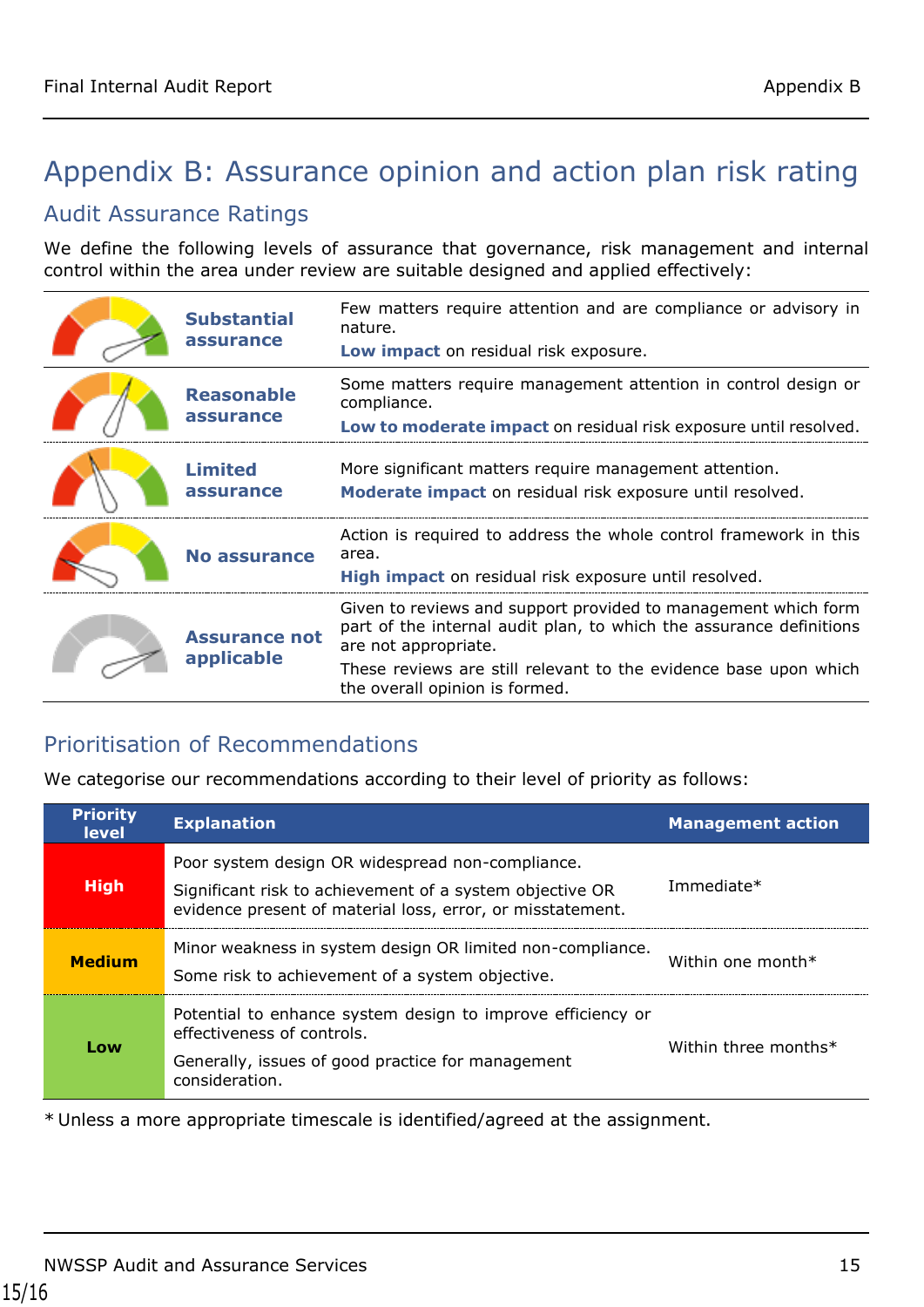# <span id="page-14-0"></span>Appendix B: Assurance opinion and action plan risk rating

#### Audit Assurance Ratings

We define the following levels of assurance that governance, risk management and internal control within the area under review are suitable designed and applied effectively:

| <b>Substantial</b><br>assurance    | Few matters require attention and are compliance or advisory in<br>nature.<br>Low impact on residual risk exposure.                                                                                                                                                 |
|------------------------------------|---------------------------------------------------------------------------------------------------------------------------------------------------------------------------------------------------------------------------------------------------------------------|
| <b>Reasonable</b><br>assurance     | Some matters require management attention in control design or<br>compliance.<br>Low to moderate impact on residual risk exposure until resolved.                                                                                                                   |
| <b>Limited</b><br>assurance        | More significant matters require management attention.<br>Moderate impact on residual risk exposure until resolved.                                                                                                                                                 |
| <b>No assurance</b>                | Action is required to address the whole control framework in this<br>area.<br>High impact on residual risk exposure until resolved.                                                                                                                                 |
| <b>Assurance not</b><br>applicable | Given to reviews and support provided to management which form<br>part of the internal audit plan, to which the assurance definitions<br>are not appropriate.<br>These reviews are still relevant to the evidence base upon which<br>the overall opinion is formed. |

#### Prioritisation of Recommendations

We categorise our recommendations according to their level of priority as follows:

| <b>Priority</b><br><b>level</b> | <b>Explanation</b>                                                                                                                                                         | <b>Management action</b> |
|---------------------------------|----------------------------------------------------------------------------------------------------------------------------------------------------------------------------|--------------------------|
| <b>High</b>                     | Poor system design OR widespread non-compliance.<br>Significant risk to achievement of a system objective OR<br>evidence present of material loss, error, or misstatement. | Immediate*               |
| <b>Medium</b>                   | Minor weakness in system design OR limited non-compliance.<br>Some risk to achievement of a system objective.                                                              | Within one month $*$     |
| Low                             | Potential to enhance system design to improve efficiency or<br>effectiveness of controls.<br>Generally, issues of good practice for management<br>consideration.           | Within three months*     |

\* Unless a more appropriate timescale is identified/agreed at the assignment.